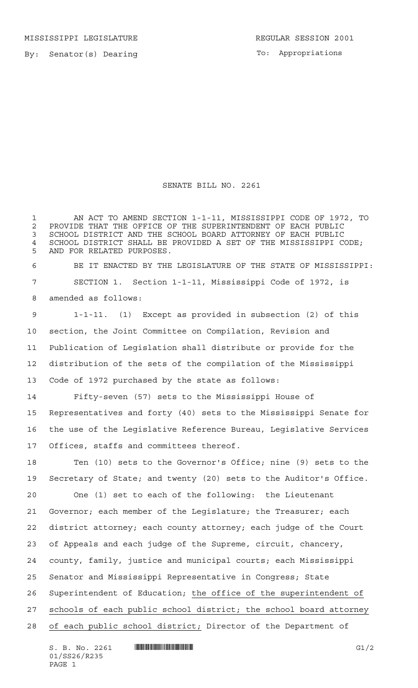MISSISSIPPI LEGISLATURE **REGULAR SESSION 2001** 

By: Senator(s) Dearing

To: Appropriations

## SENATE BILL NO. 2261

 AN ACT TO AMEND SECTION 1-1-11, MISSISSIPPI CODE OF 1972, TO 2 PROVIDE THAT THE OFFICE OF THE SUPERINTENDENT OF EACH PUBLIC<br>3 SCHOOL DISTRICT AND THE SCHOOL BOARD ATTORNEY OF EACH PUBLIC SCHOOL DISTRICT AND THE SCHOOL BOARD ATTORNEY OF EACH PUBLIC SCHOOL DISTRICT SHALL BE PROVIDED A SET OF THE MISSISSIPPI CODE; AND FOR RELATED PURPOSES. BE IT ENACTED BY THE LEGISLATURE OF THE STATE OF MISSISSIPPI:

 SECTION 1. Section 1-1-11, Mississippi Code of 1972, is amended as follows:

 1-1-11. (1) Except as provided in subsection (2) of this section, the Joint Committee on Compilation, Revision and Publication of Legislation shall distribute or provide for the distribution of the sets of the compilation of the Mississippi Code of 1972 purchased by the state as follows:

 Fifty-seven (57) sets to the Mississippi House of Representatives and forty (40) sets to the Mississippi Senate for the use of the Legislative Reference Bureau, Legislative Services Offices, staffs and committees thereof.

 Ten (10) sets to the Governor's Office; nine (9) sets to the Secretary of State; and twenty (20) sets to the Auditor's Office.

 One (1) set to each of the following: the Lieutenant Governor; each member of the Legislature; the Treasurer; each district attorney; each county attorney; each judge of the Court of Appeals and each judge of the Supreme, circuit, chancery, county, family, justice and municipal courts; each Mississippi Senator and Mississippi Representative in Congress; State Superintendent of Education; the office of the superintendent of schools of each public school district; the school board attorney of each public school district; Director of the Department of

S. B. No. 2261 \*SS26/R235\* G1/2 01/SS26/R235 PAGE 1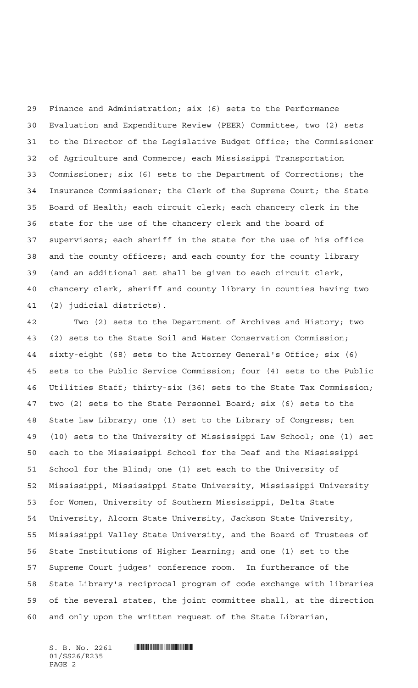Finance and Administration; six (6) sets to the Performance Evaluation and Expenditure Review (PEER) Committee, two (2) sets to the Director of the Legislative Budget Office; the Commissioner of Agriculture and Commerce; each Mississippi Transportation Commissioner; six (6) sets to the Department of Corrections; the Insurance Commissioner; the Clerk of the Supreme Court; the State Board of Health; each circuit clerk; each chancery clerk in the state for the use of the chancery clerk and the board of supervisors; each sheriff in the state for the use of his office and the county officers; and each county for the county library (and an additional set shall be given to each circuit clerk, chancery clerk, sheriff and county library in counties having two (2) judicial districts).

 Two (2) sets to the Department of Archives and History; two (2) sets to the State Soil and Water Conservation Commission; sixty-eight (68) sets to the Attorney General's Office; six (6) sets to the Public Service Commission; four (4) sets to the Public Utilities Staff; thirty-six (36) sets to the State Tax Commission; two (2) sets to the State Personnel Board; six (6) sets to the State Law Library; one (1) set to the Library of Congress; ten (10) sets to the University of Mississippi Law School; one (1) set each to the Mississippi School for the Deaf and the Mississippi School for the Blind; one (1) set each to the University of Mississippi, Mississippi State University, Mississippi University for Women, University of Southern Mississippi, Delta State University, Alcorn State University, Jackson State University, Mississippi Valley State University, and the Board of Trustees of State Institutions of Higher Learning; and one (1) set to the Supreme Court judges' conference room. In furtherance of the State Library's reciprocal program of code exchange with libraries of the several states, the joint committee shall, at the direction and only upon the written request of the State Librarian,

 $S. B. No. 2261$  . Suppose the set of  $S. B. N_O. 2261$ 01/SS26/R235 PAGE 2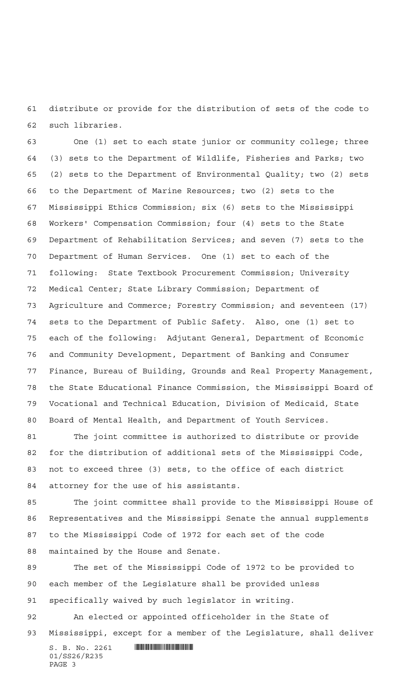distribute or provide for the distribution of sets of the code to such libraries.

 One (1) set to each state junior or community college; three (3) sets to the Department of Wildlife, Fisheries and Parks; two (2) sets to the Department of Environmental Quality; two (2) sets to the Department of Marine Resources; two (2) sets to the Mississippi Ethics Commission; six (6) sets to the Mississippi Workers' Compensation Commission; four (4) sets to the State Department of Rehabilitation Services; and seven (7) sets to the Department of Human Services. One (1) set to each of the following: State Textbook Procurement Commission; University Medical Center; State Library Commission; Department of Agriculture and Commerce; Forestry Commission; and seventeen (17) sets to the Department of Public Safety. Also, one (1) set to each of the following: Adjutant General, Department of Economic and Community Development, Department of Banking and Consumer Finance, Bureau of Building, Grounds and Real Property Management, the State Educational Finance Commission, the Mississippi Board of Vocational and Technical Education, Division of Medicaid, State Board of Mental Health, and Department of Youth Services.

 The joint committee is authorized to distribute or provide for the distribution of additional sets of the Mississippi Code, not to exceed three (3) sets, to the office of each district attorney for the use of his assistants.

 The joint committee shall provide to the Mississippi House of Representatives and the Mississippi Senate the annual supplements to the Mississippi Code of 1972 for each set of the code maintained by the House and Senate.

 The set of the Mississippi Code of 1972 to be provided to each member of the Legislature shall be provided unless specifically waived by such legislator in writing.

 An elected or appointed officeholder in the State of Mississippi, except for a member of the Legislature, shall deliver

 $S. B. No. 2261$  . Suppose the set of  $R$ 01/SS26/R235 PAGE 3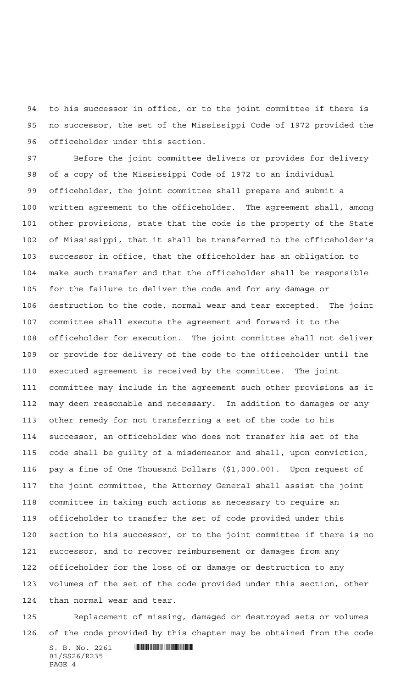to his successor in office, or to the joint committee if there is no successor, the set of the Mississippi Code of 1972 provided the officeholder under this section.

 Before the joint committee delivers or provides for delivery of a copy of the Mississippi Code of 1972 to an individual officeholder, the joint committee shall prepare and submit a written agreement to the officeholder. The agreement shall, among other provisions, state that the code is the property of the State of Mississippi, that it shall be transferred to the officeholder's successor in office, that the officeholder has an obligation to make such transfer and that the officeholder shall be responsible for the failure to deliver the code and for any damage or destruction to the code, normal wear and tear excepted. The joint committee shall execute the agreement and forward it to the officeholder for execution. The joint committee shall not deliver or provide for delivery of the code to the officeholder until the executed agreement is received by the committee. The joint committee may include in the agreement such other provisions as it may deem reasonable and necessary. In addition to damages or any other remedy for not transferring a set of the code to his successor, an officeholder who does not transfer his set of the code shall be guilty of a misdemeanor and shall, upon conviction, pay a fine of One Thousand Dollars (\$1,000.00). Upon request of the joint committee, the Attorney General shall assist the joint committee in taking such actions as necessary to require an officeholder to transfer the set of code provided under this section to his successor, or to the joint committee if there is no successor, and to recover reimbursement or damages from any officeholder for the loss of or damage or destruction to any volumes of the set of the code provided under this section, other than normal wear and tear.

 Replacement of missing, damaged or destroyed sets or volumes of the code provided by this chapter may be obtained from the code

 $S. B. No. 2261$  . So  $R$ 01/SS26/R235 PAGE 4